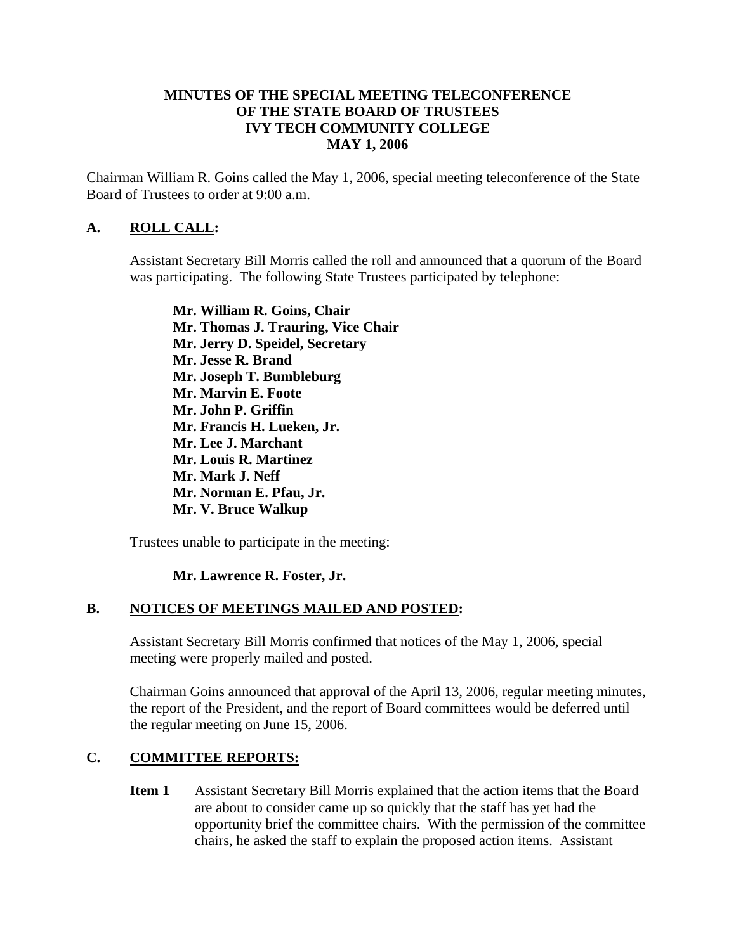## **MINUTES OF THE SPECIAL MEETING TELECONFERENCE OF THE STATE BOARD OF TRUSTEES IVY TECH COMMUNITY COLLEGE MAY 1, 2006**

Chairman William R. Goins called the May 1, 2006, special meeting teleconference of the State Board of Trustees to order at 9:00 a.m.

## **A. ROLL CALL:**

Assistant Secretary Bill Morris called the roll and announced that a quorum of the Board was participating. The following State Trustees participated by telephone:

**Mr. William R. Goins, Chair Mr. Thomas J. Trauring, Vice Chair Mr. Jerry D. Speidel, Secretary Mr. Jesse R. Brand Mr. Joseph T. Bumbleburg Mr. Marvin E. Foote Mr. John P. Griffin Mr. Francis H. Lueken, Jr. Mr. Lee J. Marchant Mr. Louis R. Martinez Mr. Mark J. Neff Mr. Norman E. Pfau, Jr. Mr. V. Bruce Walkup** 

Trustees unable to participate in the meeting:

### **Mr. Lawrence R. Foster, Jr.**

### **B. NOTICES OF MEETINGS MAILED AND POSTED:**

Assistant Secretary Bill Morris confirmed that notices of the May 1, 2006, special meeting were properly mailed and posted.

Chairman Goins announced that approval of the April 13, 2006, regular meeting minutes, the report of the President, and the report of Board committees would be deferred until the regular meeting on June 15, 2006.

#### **C. COMMITTEE REPORTS:**

**Item 1** Assistant Secretary Bill Morris explained that the action items that the Board are about to consider came up so quickly that the staff has yet had the opportunity brief the committee chairs. With the permission of the committee chairs, he asked the staff to explain the proposed action items. Assistant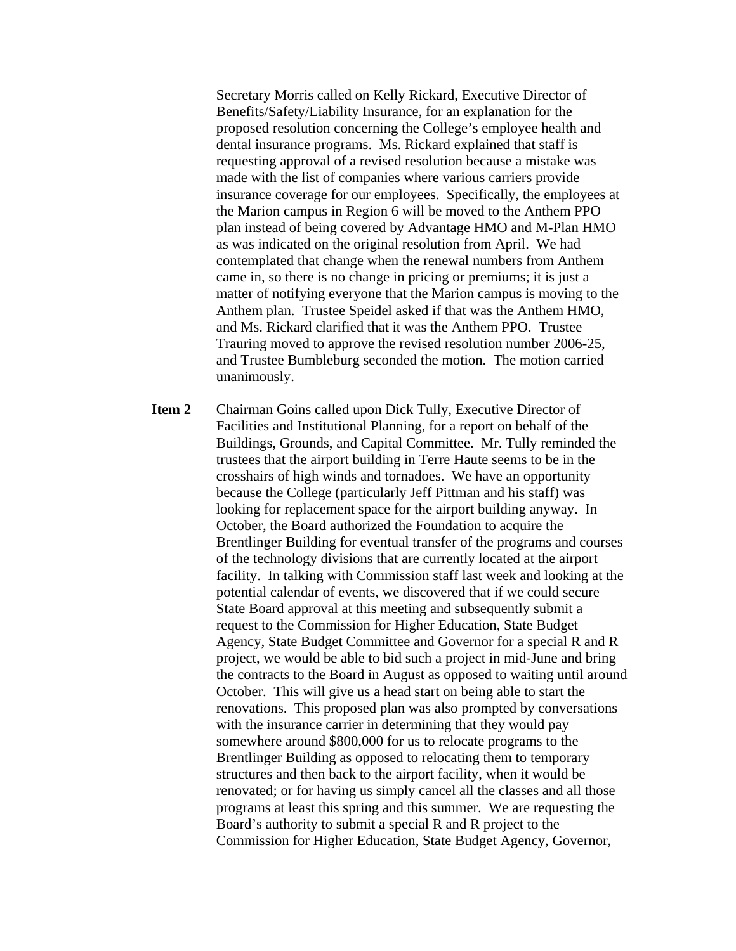Secretary Morris called on Kelly Rickard, Executive Director of Benefits/Safety/Liability Insurance, for an explanation for the proposed resolution concerning the College's employee health and dental insurance programs. Ms. Rickard explained that staff is requesting approval of a revised resolution because a mistake was made with the list of companies where various carriers provide insurance coverage for our employees. Specifically, the employees at the Marion campus in Region 6 will be moved to the Anthem PPO plan instead of being covered by Advantage HMO and M-Plan HMO as was indicated on the original resolution from April. We had contemplated that change when the renewal numbers from Anthem came in, so there is no change in pricing or premiums; it is just a matter of notifying everyone that the Marion campus is moving to the Anthem plan. Trustee Speidel asked if that was the Anthem HMO, and Ms. Rickard clarified that it was the Anthem PPO. Trustee Trauring moved to approve the revised resolution number 2006-25, and Trustee Bumbleburg seconded the motion. The motion carried unanimously.

**Item 2** Chairman Goins called upon Dick Tully, Executive Director of Facilities and Institutional Planning, for a report on behalf of the Buildings, Grounds, and Capital Committee. Mr. Tully reminded the trustees that the airport building in Terre Haute seems to be in the crosshairs of high winds and tornadoes. We have an opportunity because the College (particularly Jeff Pittman and his staff) was looking for replacement space for the airport building anyway. In October, the Board authorized the Foundation to acquire the Brentlinger Building for eventual transfer of the programs and courses of the technology divisions that are currently located at the airport facility. In talking with Commission staff last week and looking at the potential calendar of events, we discovered that if we could secure State Board approval at this meeting and subsequently submit a request to the Commission for Higher Education, State Budget Agency, State Budget Committee and Governor for a special R and R project, we would be able to bid such a project in mid-June and bring the contracts to the Board in August as opposed to waiting until around October. This will give us a head start on being able to start the renovations. This proposed plan was also prompted by conversations with the insurance carrier in determining that they would pay somewhere around \$800,000 for us to relocate programs to the Brentlinger Building as opposed to relocating them to temporary structures and then back to the airport facility, when it would be renovated; or for having us simply cancel all the classes and all those programs at least this spring and this summer. We are requesting the Board's authority to submit a special R and R project to the Commission for Higher Education, State Budget Agency, Governor,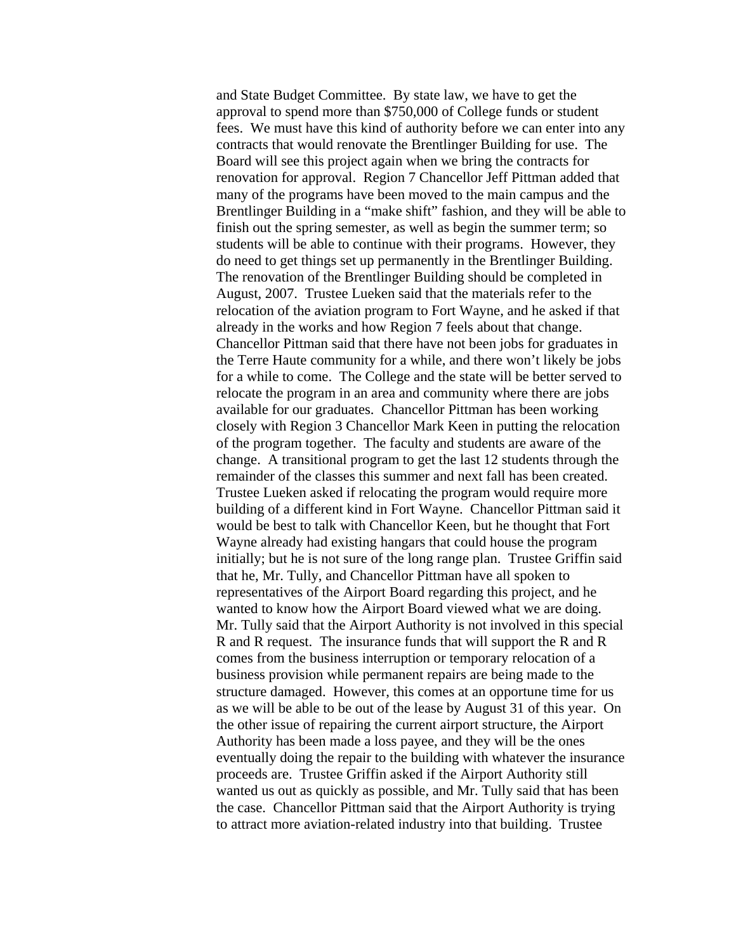and State Budget Committee. By state law, we have to get the approval to spend more than \$750,000 of College funds or student fees. We must have this kind of authority before we can enter into any contracts that would renovate the Brentlinger Building for use. The Board will see this project again when we bring the contracts for renovation for approval. Region 7 Chancellor Jeff Pittman added that many of the programs have been moved to the main campus and the Brentlinger Building in a "make shift" fashion, and they will be able to finish out the spring semester, as well as begin the summer term; so students will be able to continue with their programs. However, they do need to get things set up permanently in the Brentlinger Building. The renovation of the Brentlinger Building should be completed in August, 2007. Trustee Lueken said that the materials refer to the relocation of the aviation program to Fort Wayne, and he asked if that already in the works and how Region 7 feels about that change. Chancellor Pittman said that there have not been jobs for graduates in the Terre Haute community for a while, and there won't likely be jobs for a while to come. The College and the state will be better served to relocate the program in an area and community where there are jobs available for our graduates. Chancellor Pittman has been working closely with Region 3 Chancellor Mark Keen in putting the relocation of the program together. The faculty and students are aware of the change. A transitional program to get the last 12 students through the remainder of the classes this summer and next fall has been created. Trustee Lueken asked if relocating the program would require more building of a different kind in Fort Wayne. Chancellor Pittman said it would be best to talk with Chancellor Keen, but he thought that Fort Wayne already had existing hangars that could house the program initially; but he is not sure of the long range plan. Trustee Griffin said that he, Mr. Tully, and Chancellor Pittman have all spoken to representatives of the Airport Board regarding this project, and he wanted to know how the Airport Board viewed what we are doing. Mr. Tully said that the Airport Authority is not involved in this special R and R request. The insurance funds that will support the R and R comes from the business interruption or temporary relocation of a business provision while permanent repairs are being made to the structure damaged. However, this comes at an opportune time for us as we will be able to be out of the lease by August 31 of this year. On the other issue of repairing the current airport structure, the Airport Authority has been made a loss payee, and they will be the ones eventually doing the repair to the building with whatever the insurance proceeds are. Trustee Griffin asked if the Airport Authority still wanted us out as quickly as possible, and Mr. Tully said that has been the case. Chancellor Pittman said that the Airport Authority is trying to attract more aviation-related industry into that building. Trustee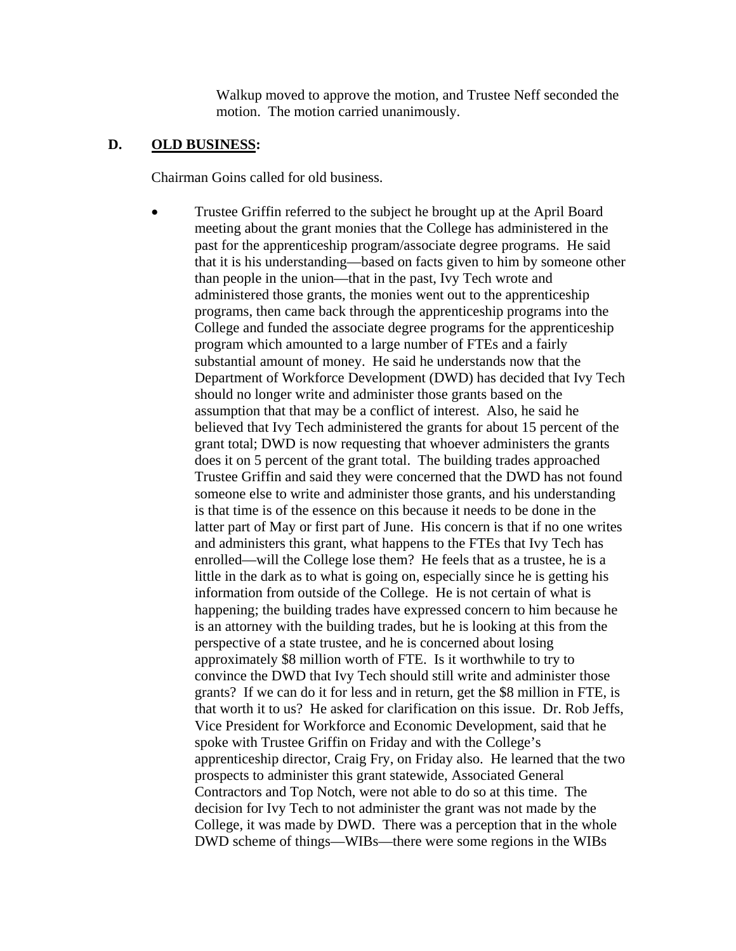Walkup moved to approve the motion, and Trustee Neff seconded the motion. The motion carried unanimously.

#### **D. OLD BUSINESS:**

Chairman Goins called for old business.

• Trustee Griffin referred to the subject he brought up at the April Board meeting about the grant monies that the College has administered in the past for the apprenticeship program/associate degree programs. He said that it is his understanding—based on facts given to him by someone other than people in the union—that in the past, Ivy Tech wrote and administered those grants, the monies went out to the apprenticeship programs, then came back through the apprenticeship programs into the College and funded the associate degree programs for the apprenticeship program which amounted to a large number of FTEs and a fairly substantial amount of money. He said he understands now that the Department of Workforce Development (DWD) has decided that Ivy Tech should no longer write and administer those grants based on the assumption that that may be a conflict of interest. Also, he said he believed that Ivy Tech administered the grants for about 15 percent of the grant total; DWD is now requesting that whoever administers the grants does it on 5 percent of the grant total. The building trades approached Trustee Griffin and said they were concerned that the DWD has not found someone else to write and administer those grants, and his understanding is that time is of the essence on this because it needs to be done in the latter part of May or first part of June. His concern is that if no one writes and administers this grant, what happens to the FTEs that Ivy Tech has enrolled—will the College lose them? He feels that as a trustee, he is a little in the dark as to what is going on, especially since he is getting his information from outside of the College. He is not certain of what is happening; the building trades have expressed concern to him because he is an attorney with the building trades, but he is looking at this from the perspective of a state trustee, and he is concerned about losing approximately \$8 million worth of FTE. Is it worthwhile to try to convince the DWD that Ivy Tech should still write and administer those grants? If we can do it for less and in return, get the \$8 million in FTE, is that worth it to us? He asked for clarification on this issue. Dr. Rob Jeffs, Vice President for Workforce and Economic Development, said that he spoke with Trustee Griffin on Friday and with the College's apprenticeship director, Craig Fry, on Friday also. He learned that the two prospects to administer this grant statewide, Associated General Contractors and Top Notch, were not able to do so at this time. The decision for Ivy Tech to not administer the grant was not made by the College, it was made by DWD. There was a perception that in the whole DWD scheme of things—WIBs—there were some regions in the WIBs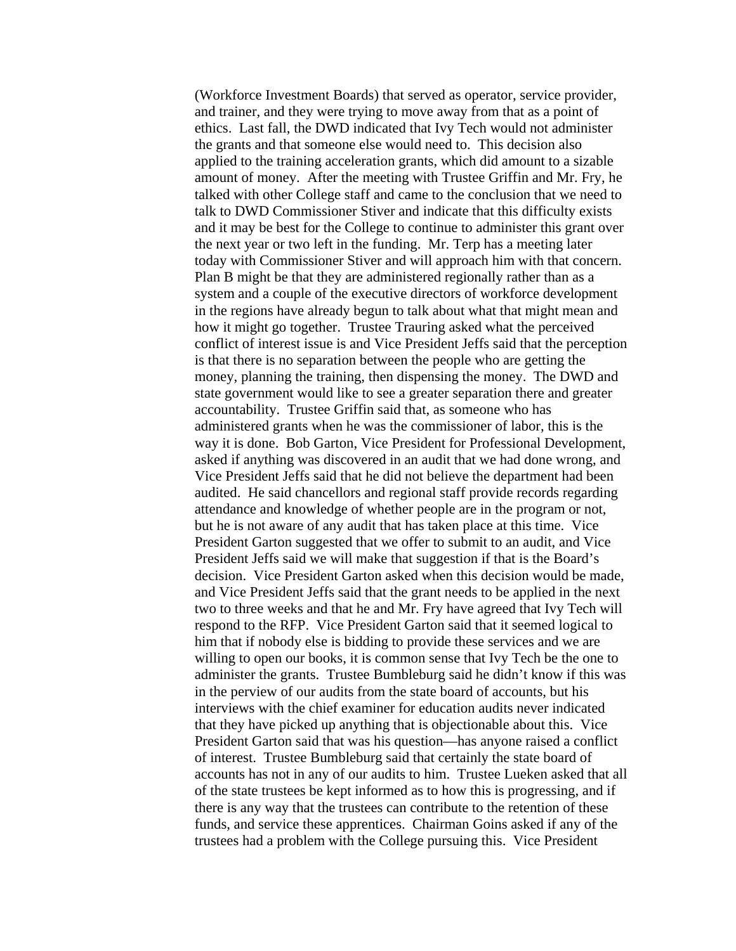(Workforce Investment Boards) that served as operator, service provider, and trainer, and they were trying to move away from that as a point of ethics. Last fall, the DWD indicated that Ivy Tech would not administer the grants and that someone else would need to. This decision also applied to the training acceleration grants, which did amount to a sizable amount of money. After the meeting with Trustee Griffin and Mr. Fry, he talked with other College staff and came to the conclusion that we need to talk to DWD Commissioner Stiver and indicate that this difficulty exists and it may be best for the College to continue to administer this grant over the next year or two left in the funding. Mr. Terp has a meeting later today with Commissioner Stiver and will approach him with that concern. Plan B might be that they are administered regionally rather than as a system and a couple of the executive directors of workforce development in the regions have already begun to talk about what that might mean and how it might go together. Trustee Trauring asked what the perceived conflict of interest issue is and Vice President Jeffs said that the perception is that there is no separation between the people who are getting the money, planning the training, then dispensing the money. The DWD and state government would like to see a greater separation there and greater accountability. Trustee Griffin said that, as someone who has administered grants when he was the commissioner of labor, this is the way it is done. Bob Garton, Vice President for Professional Development, asked if anything was discovered in an audit that we had done wrong, and Vice President Jeffs said that he did not believe the department had been audited. He said chancellors and regional staff provide records regarding attendance and knowledge of whether people are in the program or not, but he is not aware of any audit that has taken place at this time. Vice President Garton suggested that we offer to submit to an audit, and Vice President Jeffs said we will make that suggestion if that is the Board's decision. Vice President Garton asked when this decision would be made, and Vice President Jeffs said that the grant needs to be applied in the next two to three weeks and that he and Mr. Fry have agreed that Ivy Tech will respond to the RFP. Vice President Garton said that it seemed logical to him that if nobody else is bidding to provide these services and we are willing to open our books, it is common sense that Ivy Tech be the one to administer the grants. Trustee Bumbleburg said he didn't know if this was in the perview of our audits from the state board of accounts, but his interviews with the chief examiner for education audits never indicated that they have picked up anything that is objectionable about this. Vice President Garton said that was his question—has anyone raised a conflict of interest. Trustee Bumbleburg said that certainly the state board of accounts has not in any of our audits to him. Trustee Lueken asked that all of the state trustees be kept informed as to how this is progressing, and if there is any way that the trustees can contribute to the retention of these funds, and service these apprentices. Chairman Goins asked if any of the trustees had a problem with the College pursuing this. Vice President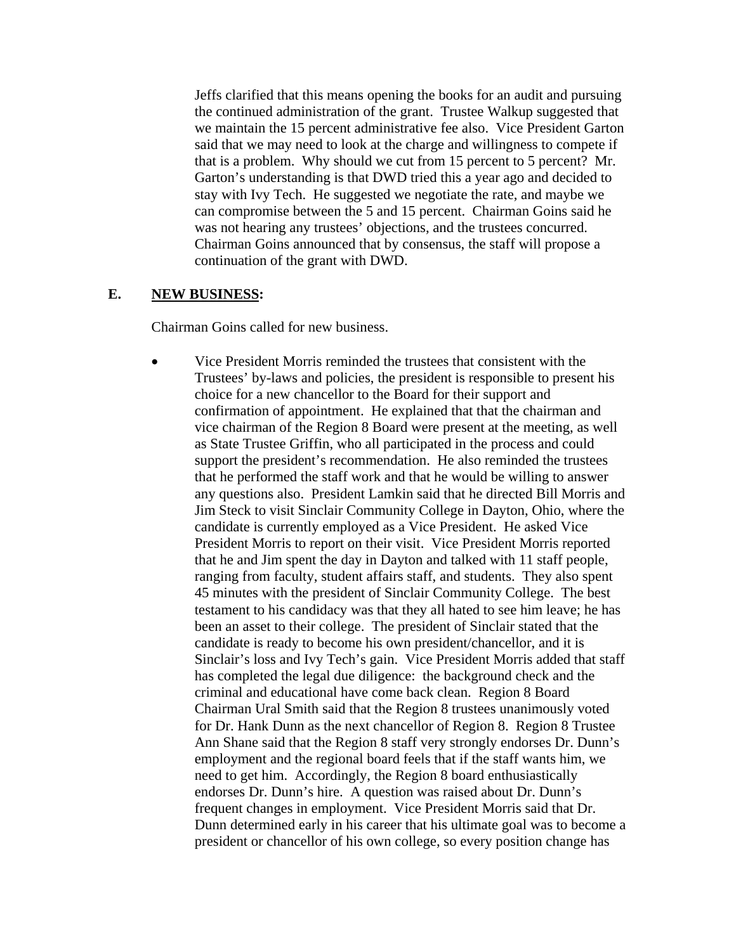Jeffs clarified that this means opening the books for an audit and pursuing the continued administration of the grant. Trustee Walkup suggested that we maintain the 15 percent administrative fee also. Vice President Garton said that we may need to look at the charge and willingness to compete if that is a problem. Why should we cut from 15 percent to 5 percent? Mr. Garton's understanding is that DWD tried this a year ago and decided to stay with Ivy Tech. He suggested we negotiate the rate, and maybe we can compromise between the 5 and 15 percent. Chairman Goins said he was not hearing any trustees' objections, and the trustees concurred. Chairman Goins announced that by consensus, the staff will propose a continuation of the grant with DWD.

#### **E. NEW BUSINESS:**

Chairman Goins called for new business.

• Vice President Morris reminded the trustees that consistent with the Trustees' by-laws and policies, the president is responsible to present his choice for a new chancellor to the Board for their support and confirmation of appointment. He explained that that the chairman and vice chairman of the Region 8 Board were present at the meeting, as well as State Trustee Griffin, who all participated in the process and could support the president's recommendation. He also reminded the trustees that he performed the staff work and that he would be willing to answer any questions also. President Lamkin said that he directed Bill Morris and Jim Steck to visit Sinclair Community College in Dayton, Ohio, where the candidate is currently employed as a Vice President. He asked Vice President Morris to report on their visit. Vice President Morris reported that he and Jim spent the day in Dayton and talked with 11 staff people, ranging from faculty, student affairs staff, and students. They also spent 45 minutes with the president of Sinclair Community College. The best testament to his candidacy was that they all hated to see him leave; he has been an asset to their college. The president of Sinclair stated that the candidate is ready to become his own president/chancellor, and it is Sinclair's loss and Ivy Tech's gain. Vice President Morris added that staff has completed the legal due diligence: the background check and the criminal and educational have come back clean. Region 8 Board Chairman Ural Smith said that the Region 8 trustees unanimously voted for Dr. Hank Dunn as the next chancellor of Region 8. Region 8 Trustee Ann Shane said that the Region 8 staff very strongly endorses Dr. Dunn's employment and the regional board feels that if the staff wants him, we need to get him. Accordingly, the Region 8 board enthusiastically endorses Dr. Dunn's hire. A question was raised about Dr. Dunn's frequent changes in employment. Vice President Morris said that Dr. Dunn determined early in his career that his ultimate goal was to become a president or chancellor of his own college, so every position change has